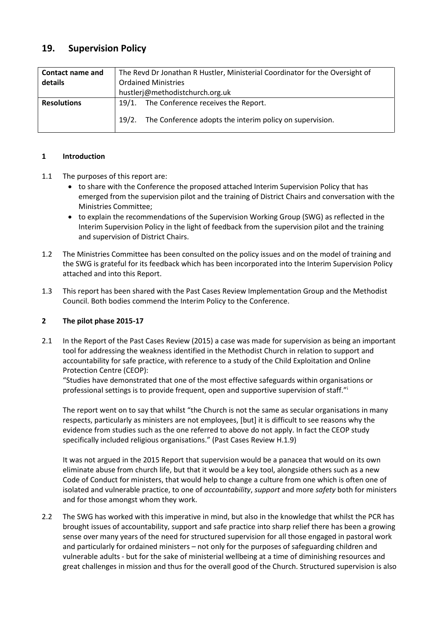# **19. Supervision Policy**

| <b>Contact name and</b><br>details | The Revd Dr Jonathan R Hustler, Ministerial Coordinator for the Oversight of<br><b>Ordained Ministries</b> |
|------------------------------------|------------------------------------------------------------------------------------------------------------|
|                                    | hustlerj@methodistchurch.org.uk                                                                            |
| <b>Resolutions</b>                 | 19/1. The Conference receives the Report.                                                                  |
|                                    | 19/2.<br>The Conference adopts the interim policy on supervision.                                          |

## **1 Introduction**

- 1.1 The purposes of this report are:
	- to share with the Conference the proposed attached Interim Supervision Policy that has emerged from the supervision pilot and the training of District Chairs and conversation with the Ministries Committee;
	- to explain the recommendations of the Supervision Working Group (SWG) as reflected in the Interim Supervision Policy in the light of feedback from the supervision pilot and the training and supervision of District Chairs.
- 1.2 The Ministries Committee has been consulted on the policy issues and on the model of training and the SWG is grateful for its feedback which has been incorporated into the Interim Supervision Policy attached and into this Report.
- 1.3 This report has been shared with the Past Cases Review Implementation Group and the Methodist Council. Both bodies commend the Interim Policy to the Conference.

# **2 The pilot phase 2015-17**

2.1 In the Report of the Past Cases Review (2015) a case was made for supervision as being an important tool for addressing the weakness identified in the Methodist Church in relation to support and accountability for safe practice, with reference to a study of the Child Exploitation and Online Protection Centre (CEOP):

"Studies have demonstrated that one of the most effective safeguards within organisations or professional settings is to provide frequent, open and supportive supervision of staff."<sup>i</sup>

The report went on to say that whilst "the Church is not the same as secular organisations in many respects, particularly as ministers are not employees, [but] it is difficult to see reasons why the evidence from studies such as the one referred to above do not apply. In fact the CEOP study specifically included religious organisations." (Past Cases Review H.1.9)

It was not argued in the 2015 Report that supervision would be a panacea that would on its own eliminate abuse from church life, but that it would be a key tool, alongside others such as a new Code of Conduct for ministers, that would help to change a culture from one which is often one of isolated and vulnerable practice, to one of *accountability*, *support* and more *safety* both for ministers and for those amongst whom they work.

2.2 The SWG has worked with this imperative in mind, but also in the knowledge that whilst the PCR has brought issues of accountability, support and safe practice into sharp relief there has been a growing sense over many years of the need for structured supervision for all those engaged in pastoral work and particularly for ordained ministers – not only for the purposes of safeguarding children and vulnerable adults - but for the sake of ministerial wellbeing at a time of diminishing resources and great challenges in mission and thus for the overall good of the Church. Structured supervision is also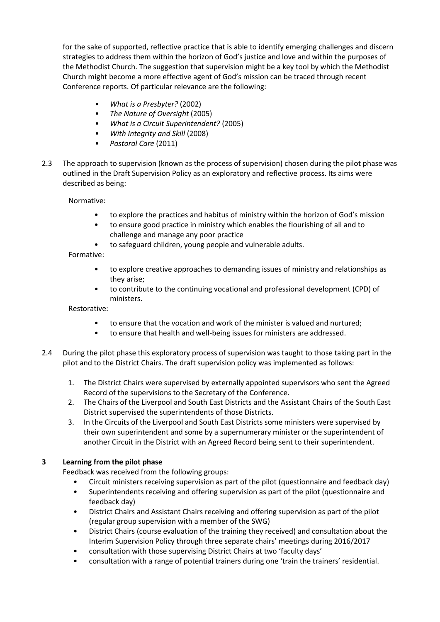for the sake of supported, reflective practice that is able to identify emerging challenges and discern strategies to address them within the horizon of God's justice and love and within the purposes of the Methodist Church. The suggestion that supervision might be a key tool by which the Methodist Church might become a more effective agent of God's mission can be traced through recent Conference reports. Of particular relevance are the following:

- *What is a Presbyter?* (2002)
- *The Nature of Oversight* (2005)
- *What is a Circuit Superintendent?* (2005)
- *With Integrity and Skill* (2008)
- *Pastoral Care* (2011)
- 2.3 The approach to supervision (known as the process of supervision) chosen during the pilot phase was outlined in the Draft Supervision Policy as an exploratory and reflective process. Its aims were described as being:

Normative:

- to explore the practices and habitus of ministry within the horizon of God's mission
- to ensure good practice in ministry which enables the flourishing of all and to challenge and manage any poor practice
- to safeguard children, young people and vulnerable adults.

Formative:

- to explore creative approaches to demanding issues of ministry and relationships as they arise;
- to contribute to the continuing vocational and professional development (CPD) of ministers.

Restorative:

- to ensure that the vocation and work of the minister is valued and nurtured;
- to ensure that health and well-being issues for ministers are addressed.
- 2.4 During the pilot phase this exploratory process of supervision was taught to those taking part in the pilot and to the District Chairs. The draft supervision policy was implemented as follows:
	- 1. The District Chairs were supervised by externally appointed supervisors who sent the Agreed Record of the supervisions to the Secretary of the Conference.
	- 2. The Chairs of the Liverpool and South East Districts and the Assistant Chairs of the South East District supervised the superintendents of those Districts.
	- 3. In the Circuits of the Liverpool and South East Districts some ministers were supervised by their own superintendent and some by a supernumerary minister or the superintendent of another Circuit in the District with an Agreed Record being sent to their superintendent.

## **3 Learning from the pilot phase**

Feedback was received from the following groups:

- Circuit ministers receiving supervision as part of the pilot (questionnaire and feedback day)
- Superintendents receiving and offering supervision as part of the pilot (questionnaire and feedback day)
- District Chairs and Assistant Chairs receiving and offering supervision as part of the pilot (regular group supervision with a member of the SWG)
- District Chairs (course evaluation of the training they received) and consultation about the Interim Supervision Policy through three separate chairs' meetings during 2016/2017
- consultation with those supervising District Chairs at two 'faculty days'
- consultation with a range of potential trainers during one 'train the trainers' residential.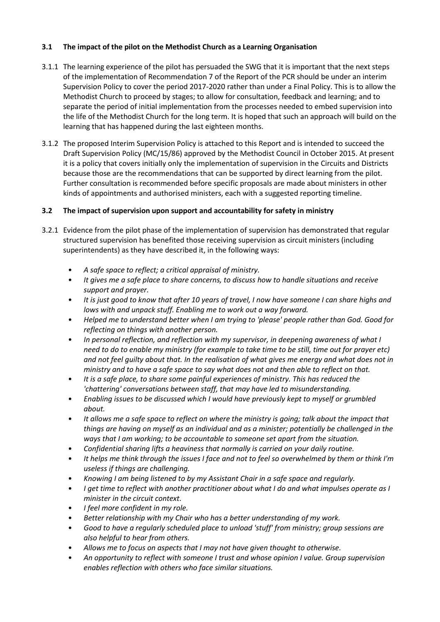## **3.1 The impact of the pilot on the Methodist Church as a Learning Organisation**

- 3.1.1 The learning experience of the pilot has persuaded the SWG that it is important that the next steps of the implementation of Recommendation 7 of the Report of the PCR should be under an interim Supervision Policy to cover the period 2017-2020 rather than under a Final Policy. This is to allow the Methodist Church to proceed by stages; to allow for consultation, feedback and learning; and to separate the period of initial implementation from the processes needed to embed supervision into the life of the Methodist Church for the long term. It is hoped that such an approach will build on the learning that has happened during the last eighteen months.
- 3.1.2 The proposed Interim Supervision Policy is attached to this Report and is intended to succeed the Draft Supervision Policy (MC/15/86) approved by the Methodist Council in October 2015. At present it is a policy that covers initially only the implementation of supervision in the Circuits and Districts because those are the recommendations that can be supported by direct learning from the pilot. Further consultation is recommended before specific proposals are made about ministers in other kinds of appointments and authorised ministers, each with a suggested reporting timeline.

## **3.2 The impact of supervision upon support and accountability for safety in ministry**

- 3.2.1 Evidence from the pilot phase of the implementation of supervision has demonstrated that regular structured supervision has benefited those receiving supervision as circuit ministers (including superintendents) as they have described it, in the following ways:
	- *A safe space to reflect; a critical appraisal of ministry.*
	- *It gives me a safe place to share concerns, to discuss how to handle situations and receive support and prayer.*
	- *It is just good to know that after 10 years of travel, I now have someone I can share highs and lows with and unpack stuff. Enabling me to work out a way forward.*
	- *Helped me to understand better when I am trying to 'please' people rather than God. Good for reflecting on things with another person.*
	- *In personal reflection, and reflection with my supervisor, in deepening awareness of what I need to do to enable my ministry (for example to take time to be still, time out for prayer etc) and not feel guilty about that. In the realisation of what gives me energy and what does not in ministry and to have a safe space to say what does not and then able to reflect on that.*
	- *It is a safe place, to share some painful experiences of ministry. This has reduced the 'chattering' conversations between staff, that may have led to misunderstanding.*
	- *Enabling issues to be discussed which I would have previously kept to myself or grumbled about.*
	- *It allows me a safe space to reflect on where the ministry is going; talk about the impact that things are having on myself as an individual and as a minister; potentially be challenged in the ways that I am working; to be accountable to someone set apart from the situation.*
	- *Confidential sharing lifts a heaviness that normally is carried on your daily routine.*
	- *It helps me think through the issues I face and not to feel so overwhelmed by them or think I'm useless if things are challenging.*
	- *Knowing I am being listened to by my Assistant Chair in a safe space and regularly.*
	- *I get time to reflect with another practitioner about what I do and what impulses operate as I minister in the circuit context.*
	- *I feel more confident in my role.*
	- *Better relationship with my Chair who has a better understanding of my work.*
	- *Good to have a regularly scheduled place to unload 'stuff' from ministry; group sessions are also helpful to hear from others.*
	- *Allows me to focus on aspects that I may not have given thought to otherwise.*
	- *An opportunity to reflect with someone I trust and whose opinion I value. Group supervision enables reflection with others who face similar situations.*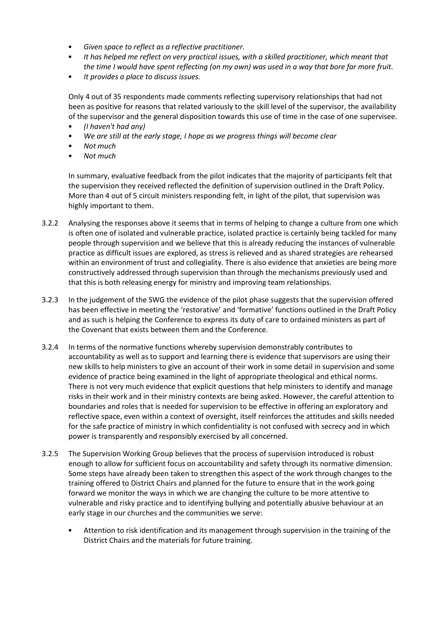- *Given space to reflect as a reflective practitioner.*
- *It has helped me reflect on very practical issues, with a skilled practitioner, which meant that the time I would have spent reflecting (on my own) was used in a way that bore far more fruit.*
- *It provides a place to discuss issues.*

Only 4 out of 35 respondents made comments reflecting supervisory relationships that had not been as positive for reasons that related variously to the skill level of the supervisor, the availability of the supervisor and the general disposition towards this use of time in the case of one supervisee.

- *• (I haven't had any)*
- *• We are still at the early stage, I hope as we progress things will become clear*
- *• Not much*
- *• Not much*

In summary, evaluative feedback from the pilot indicates that the majority of participants felt that the supervision they received reflected the definition of supervision outlined in the Draft Policy. More than 4 out of 5 circuit ministers responding felt, in light of the pilot, that supervision was highly important to them.

- 3.2.2 Analysing the responses above it seems that in terms of helping to change a culture from one which is often one of isolated and vulnerable practice, isolated practice is certainly being tackled for many people through supervision and we believe that this is already reducing the instances of vulnerable practice as difficult issues are explored, as stress is relieved and as shared strategies are rehearsed within an environment of trust and collegiality. There is also evidence that anxieties are being more constructively addressed through supervision than through the mechanisms previously used and that this is both releasing energy for ministry and improving team relationships.
- 3.2.3 In the judgement of the SWG the evidence of the pilot phase suggests that the supervision offered has been effective in meeting the 'restorative' and 'formative' functions outlined in the Draft Policy and as such is helping the Conference to express its duty of care to ordained ministers as part of the Covenant that exists between them and the Conference.
- 3.2.4 In terms of the normative functions whereby supervision demonstrably contributes to accountability as well as to support and learning there is evidence that supervisors are using their new skills to help ministers to give an account of their work in some detail in supervision and some evidence of practice being examined in the light of appropriate theological and ethical norms. There is not very much evidence that explicit questions that help ministers to identify and manage risks in their work and in their ministry contexts are being asked. However, the careful attention to boundaries and roles that is needed for supervision to be effective in offering an exploratory and reflective space, even within a context of oversight, itself reinforces the attitudes and skills needed for the safe practice of ministry in which confidentiality is not confused with secrecy and in which power is transparently and responsibly exercised by all concerned.
- 3.2.5 The Supervision Working Group believes that the process of supervision introduced is robust enough to allow for sufficient focus on accountability and safety through its normative dimension. Some steps have already been taken to strengthen this aspect of the work through changes to the training offered to District Chairs and planned for the future to ensure that in the work going forward we monitor the ways in which we are changing the culture to be more attentive to vulnerable and risky practice and to identifying bullying and potentially abusive behaviour at an early stage in our churches and the communities we serve:
	- Attention to risk identification and its management through supervision in the training of the District Chairs and the materials for future training.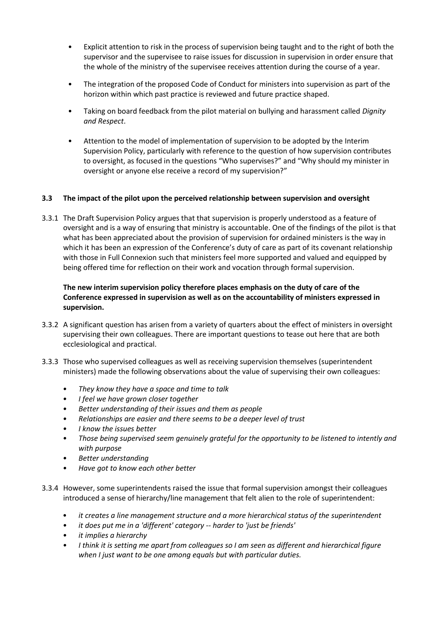- Explicit attention to risk in the process of supervision being taught and to the right of both the supervisor and the supervisee to raise issues for discussion in supervision in order ensure that the whole of the ministry of the supervisee receives attention during the course of a year.
- The integration of the proposed Code of Conduct for ministers into supervision as part of the horizon within which past practice is reviewed and future practice shaped.
- Taking on board feedback from the pilot material on bullying and harassment called *Dignity and Respect*.
- Attention to the model of implementation of supervision to be adopted by the Interim Supervision Policy, particularly with reference to the question of how supervision contributes to oversight, as focused in the questions "Who supervises?" and "Why should my minister in oversight or anyone else receive a record of my supervision?"

## **3.3 The impact of the pilot upon the perceived relationship between supervision and oversight**

3.3.1 The Draft Supervision Policy argues that that supervision is properly understood as a feature of oversight and is a way of ensuring that ministry is accountable. One of the findings of the pilot is that what has been appreciated about the provision of supervision for ordained ministers is the way in which it has been an expression of the Conference's duty of care as part of its covenant relationship with those in Full Connexion such that ministers feel more supported and valued and equipped by being offered time for reflection on their work and vocation through formal supervision.

## **The new interim supervision policy therefore places emphasis on the duty of care of the Conference expressed in supervision as well as on the accountability of ministers expressed in supervision.**

- 3.3.2 A significant question has arisen from a variety of quarters about the effect of ministers in oversight supervising their own colleagues. There are important questions to tease out here that are both ecclesiological and practical.
- 3.3.3 Those who supervised colleagues as well as receiving supervision themselves (superintendent ministers) made the following observations about the value of supervising their own colleagues:
	- *• They know they have a space and time to talk*
	- *• I feel we have grown closer together*
	- *• Better understanding of their issues and them as people*
	- *• Relationships are easier and there seems to be a deeper level of trust*
	- *• I know the issues better*
	- *• Those being supervised seem genuinely grateful for the opportunity to be listened to intently and with purpose*
	- *• Better understanding*
	- *• Have got to know each other better*
- 3.3.4 However, some superintendents raised the issue that formal supervision amongst their colleagues introduced a sense of hierarchy/line management that felt alien to the role of superintendent:
	- *it creates a line management structure and a more hierarchical status of the superintendent*
	- *• it does put me in a 'different' category -- harder to 'just be friends'*
	- *• it implies a hierarchy*
	- *• I think it is setting me apart from colleagues so I am seen as different and hierarchical figure when I just want to be one among equals but with particular duties.*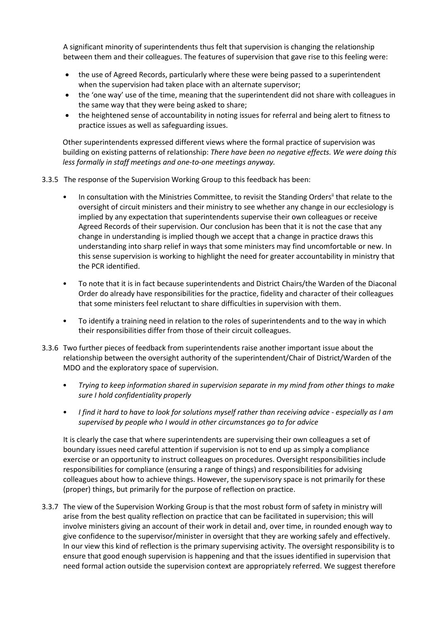A significant minority of superintendents thus felt that supervision is changing the relationship between them and their colleagues. The features of supervision that gave rise to this feeling were:

- the use of Agreed Records, particularly where these were being passed to a superintendent when the supervision had taken place with an alternate supervisor;
- the 'one way' use of the time, meaning that the superintendent did not share with colleagues in the same way that they were being asked to share;
- the heightened sense of accountability in noting issues for referral and being alert to fitness to practice issues as well as safeguarding issues.

Other superintendents expressed different views where the formal practice of supervision was building on existing patterns of relationship: *There have been no negative effects. We were doing this less formally in staff meetings and one-to-one meetings anyway.*

- 3.3.5 The response of the Supervision Working Group to this feedback has been:
	- In consultation with the Ministries Committee, to revisit the Standing Orders<sup>ii</sup> that relate to the oversight of circuit ministers and their ministry to see whether any change in our ecclesiology is implied by any expectation that superintendents supervise their own colleagues or receive Agreed Records of their supervision. Our conclusion has been that it is not the case that any change in understanding is implied though we accept that a change in practice draws this understanding into sharp relief in ways that some ministers may find uncomfortable or new. In this sense supervision is working to highlight the need for greater accountability in ministry that the PCR identified.
	- To note that it is in fact because superintendents and District Chairs/the Warden of the Diaconal Order do already have responsibilities for the practice, fidelity and character of their colleagues that some ministers feel reluctant to share difficulties in supervision with them.
	- To identify a training need in relation to the roles of superintendents and to the way in which their responsibilities differ from those of their circuit colleagues.
- 3.3.6 Two further pieces of feedback from superintendents raise another important issue about the relationship between the oversight authority of the superintendent/Chair of District/Warden of the MDO and the exploratory space of supervision.
	- *Trying to keep information shared in supervision separate in my mind from other things to make sure I hold confidentiality properly*
	- *• I find it hard to have to look for solutions myself rather than receiving advice - especially as I am supervised by people who I would in other circumstances go to for advice*

It is clearly the case that where superintendents are supervising their own colleagues a set of boundary issues need careful attention if supervision is not to end up as simply a compliance exercise or an opportunity to instruct colleagues on procedures. Oversight responsibilities include responsibilities for compliance (ensuring a range of things) and responsibilities for advising colleagues about how to achieve things. However, the supervisory space is not primarily for these (proper) things, but primarily for the purpose of reflection on practice.

3.3.7 The view of the Supervision Working Group is that the most robust form of safety in ministry will arise from the best quality reflection on practice that can be facilitated in supervision; this will involve ministers giving an account of their work in detail and, over time, in rounded enough way to give confidence to the supervisor/minister in oversight that they are working safely and effectively. In our view this kind of reflection is the primary supervising activity. The oversight responsibility is to ensure that good enough supervision is happening and that the issues identified in supervision that need formal action outside the supervision context are appropriately referred. We suggest therefore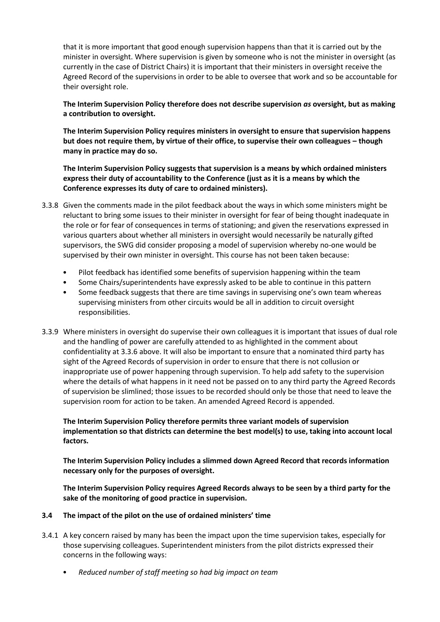that it is more important that good enough supervision happens than that it is carried out by the minister in oversight. Where supervision is given by someone who is not the minister in oversight (as currently in the case of District Chairs) it is important that their ministers in oversight receive the Agreed Record of the supervisions in order to be able to oversee that work and so be accountable for their oversight role.

**The Interim Supervision Policy therefore does not describe supervision** *as* **oversight, but as making a contribution to oversight.**

**The Interim Supervision Policy requires ministers in oversight to ensure that supervision happens but does not require them, by virtue of their office, to supervise their own colleagues – though many in practice may do so.**

**The Interim Supervision Policy suggests that supervision is a means by which ordained ministers express their duty of accountability to the Conference (just as it is a means by which the Conference expresses its duty of care to ordained ministers).**

- 3.3.8 Given the comments made in the pilot feedback about the ways in which some ministers might be reluctant to bring some issues to their minister in oversight for fear of being thought inadequate in the role or for fear of consequences in terms of stationing; and given the reservations expressed in various quarters about whether all ministers in oversight would necessarily be naturally gifted supervisors, the SWG did consider proposing a model of supervision whereby no-one would be supervised by their own minister in oversight. This course has not been taken because:
	- Pilot feedback has identified some benefits of supervision happening within the team
	- Some Chairs/superintendents have expressly asked to be able to continue in this pattern
	- Some feedback suggests that there are time savings in supervising one's own team whereas supervising ministers from other circuits would be all in addition to circuit oversight responsibilities.
- 3.3.9 Where ministers in oversight do supervise their own colleagues it is important that issues of dual role and the handling of power are carefully attended to as highlighted in the comment about confidentiality at 3.3.6 above. It will also be important to ensure that a nominated third party has sight of the Agreed Records of supervision in order to ensure that there is not collusion or inappropriate use of power happening through supervision. To help add safety to the supervision where the details of what happens in it need not be passed on to any third party the Agreed Records of supervision be slimlined; those issues to be recorded should only be those that need to leave the supervision room for action to be taken. An amended Agreed Record is appended.

**The Interim Supervision Policy therefore permits three variant models of supervision implementation so that districts can determine the best model(s) to use, taking into account local factors.**

**The Interim Supervision Policy includes a slimmed down Agreed Record that records information necessary only for the purposes of oversight.**

**The Interim Supervision Policy requires Agreed Records always to be seen by a third party for the sake of the monitoring of good practice in supervision.**

- **3.4 The impact of the pilot on the use of ordained ministers' time**
- 3.4.1 A key concern raised by many has been the impact upon the time supervision takes, especially for those supervising colleagues. Superintendent ministers from the pilot districts expressed their concerns in the following ways:
	- *Reduced number of staff meeting so had big impact on team*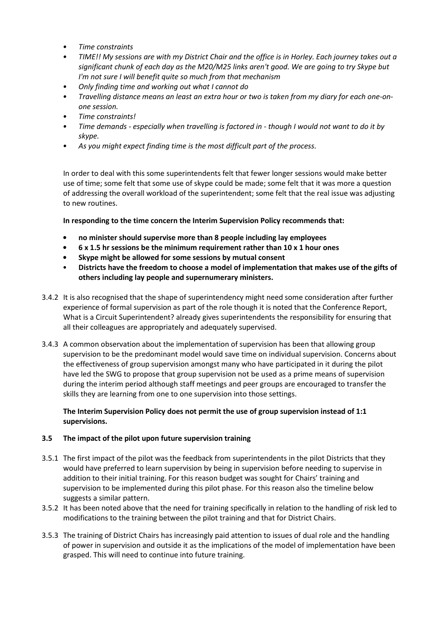- *• Time constraints*
- *• TIME!! My sessions are with my District Chair and the office is in Horley. Each journey takes out a significant chunk of each day as the M20/M25 links aren't good. We are going to try Skype but I'm not sure I will benefit quite so much from that mechanism*
- *• Only finding time and working out what I cannot do*
- *• Travelling distance means an least an extra hour or two is taken from my diary for each one-onone session.*
- *• Time constraints!*
- *• Time demands - especially when travelling is factored in - though I would not want to do it by skype.*
- *• As you might expect finding time is the most difficult part of the process.*

In order to deal with this some superintendents felt that fewer longer sessions would make better use of time; some felt that some use of skype could be made; some felt that it was more a question of addressing the overall workload of the superintendent; some felt that the real issue was adjusting to new routines.

**In responding to the time concern the Interim Supervision Policy recommends that:**

- **• no minister should supervise more than 8 people including lay employees**
- **• 6 x 1.5 hr sessions be the minimum requirement rather than 10 x 1 hour ones**
- **• Skype might be allowed for some sessions by mutual consent**
- **Districts have the freedom to choose a model of implementation that makes use of the gifts of others including lay people and supernumerary ministers.**
- 3.4.2 It is also recognised that the shape of superintendency might need some consideration after further experience of formal supervision as part of the role though it is noted that the Conference Report, What is a Circuit Superintendent? already gives superintendents the responsibility for ensuring that all their colleagues are appropriately and adequately supervised.
- 3.4.3 A common observation about the implementation of supervision has been that allowing group supervision to be the predominant model would save time on individual supervision. Concerns about the effectiveness of group supervision amongst many who have participated in it during the pilot have led the SWG to propose that group supervision not be used as a prime means of supervision during the interim period although staff meetings and peer groups are encouraged to transfer the skills they are learning from one to one supervision into those settings.

**The Interim Supervision Policy does not permit the use of group supervision instead of 1:1 supervisions.**

## **3.5 The impact of the pilot upon future supervision training**

- 3.5.1 The first impact of the pilot was the feedback from superintendents in the pilot Districts that they would have preferred to learn supervision by being in supervision before needing to supervise in addition to their initial training. For this reason budget was sought for Chairs' training and supervision to be implemented during this pilot phase. For this reason also the timeline below suggests a similar pattern.
- 3.5.2 It has been noted above that the need for training specifically in relation to the handling of risk led to modifications to the training between the pilot training and that for District Chairs.
- 3.5.3 The training of District Chairs has increasingly paid attention to issues of dual role and the handling of power in supervision and outside it as the implications of the model of implementation have been grasped. This will need to continue into future training.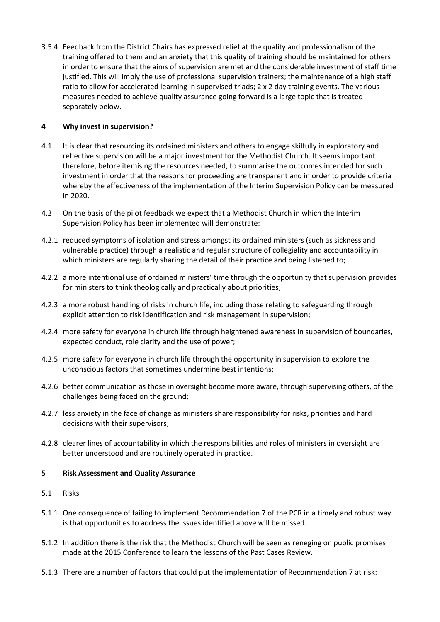3.5.4 Feedback from the District Chairs has expressed relief at the quality and professionalism of the training offered to them and an anxiety that this quality of training should be maintained for others in order to ensure that the aims of supervision are met and the considerable investment of staff time justified. This will imply the use of professional supervision trainers; the maintenance of a high staff ratio to allow for accelerated learning in supervised triads; 2 x 2 day training events. The various measures needed to achieve quality assurance going forward is a large topic that is treated separately below.

## **4 Why invest in supervision?**

- 4.1 It is clear that resourcing its ordained ministers and others to engage skilfully in exploratory and reflective supervision will be a major investment for the Methodist Church. It seems important therefore, before itemising the resources needed, to summarise the outcomes intended for such investment in order that the reasons for proceeding are transparent and in order to provide criteria whereby the effectiveness of the implementation of the Interim Supervision Policy can be measured in 2020.
- 4.2 On the basis of the pilot feedback we expect that a Methodist Church in which the Interim Supervision Policy has been implemented will demonstrate:
- 4.2.1 reduced symptoms of isolation and stress amongst its ordained ministers (such as sickness and vulnerable practice) through a realistic and regular structure of collegiality and accountability in which ministers are regularly sharing the detail of their practice and being listened to;
- 4.2.2 a more intentional use of ordained ministers' time through the opportunity that supervision provides for ministers to think theologically and practically about priorities;
- 4.2.3 a more robust handling of risks in church life, including those relating to safeguarding through explicit attention to risk identification and risk management in supervision;
- 4.2.4 more safety for everyone in church life through heightened awareness in supervision of boundaries, expected conduct, role clarity and the use of power;
- 4.2.5 more safety for everyone in church life through the opportunity in supervision to explore the unconscious factors that sometimes undermine best intentions;
- 4.2.6 better communication as those in oversight become more aware, through supervising others, of the challenges being faced on the ground;
- 4.2.7 less anxiety in the face of change as ministers share responsibility for risks, priorities and hard decisions with their supervisors;
- 4.2.8 clearer lines of accountability in which the responsibilities and roles of ministers in oversight are better understood and are routinely operated in practice.

## **5 Risk Assessment and Quality Assurance**

- 5.1 Risks
- 5.1.1 One consequence of failing to implement Recommendation 7 of the PCR in a timely and robust way is that opportunities to address the issues identified above will be missed.
- 5.1.2 In addition there is the risk that the Methodist Church will be seen as reneging on public promises made at the 2015 Conference to learn the lessons of the Past Cases Review.
- 5.1.3 There are a number of factors that could put the implementation of Recommendation 7 at risk: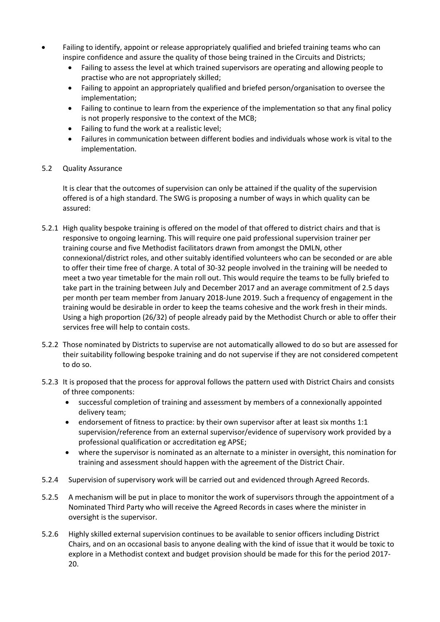- Failing to identify, appoint or release appropriately qualified and briefed training teams who can inspire confidence and assure the quality of those being trained in the Circuits and Districts;
	- Failing to assess the level at which trained supervisors are operating and allowing people to practise who are not appropriately skilled;
	- Failing to appoint an appropriately qualified and briefed person/organisation to oversee the implementation;
	- Failing to continue to learn from the experience of the implementation so that any final policy is not properly responsive to the context of the MCB;
	- Failing to fund the work at a realistic level;
	- Failures in communication between different bodies and individuals whose work is vital to the implementation.

### 5.2 Quality Assurance

It is clear that the outcomes of supervision can only be attained if the quality of the supervision offered is of a high standard. The SWG is proposing a number of ways in which quality can be assured:

- 5.2.1 High quality bespoke training is offered on the model of that offered to district chairs and that is responsive to ongoing learning. This will require one paid professional supervision trainer per training course and five Methodist facilitators drawn from amongst the DMLN, other connexional/district roles, and other suitably identified volunteers who can be seconded or are able to offer their time free of charge. A total of 30-32 people involved in the training will be needed to meet a two year timetable for the main roll out. This would require the teams to be fully briefed to take part in the training between July and December 2017 and an average commitment of 2.5 days per month per team member from January 2018-June 2019. Such a frequency of engagement in the training would be desirable in order to keep the teams cohesive and the work fresh in their minds. Using a high proportion (26/32) of people already paid by the Methodist Church or able to offer their services free will help to contain costs.
- 5.2.2 Those nominated by Districts to supervise are not automatically allowed to do so but are assessed for their suitability following bespoke training and do not supervise if they are not considered competent to do so.
- 5.2.3 It is proposed that the process for approval follows the pattern used with District Chairs and consists of three components:
	- successful completion of training and assessment by members of a connexionally appointed delivery team;
	- endorsement of fitness to practice: by their own supervisor after at least six months 1:1 supervision/reference from an external supervisor/evidence of supervisory work provided by a professional qualification or accreditation eg APSE;
	- where the supervisor is nominated as an alternate to a minister in oversight, this nomination for training and assessment should happen with the agreement of the District Chair.
- 5.2.4 Supervision of supervisory work will be carried out and evidenced through Agreed Records.
- 5.2.5 A mechanism will be put in place to monitor the work of supervisors through the appointment of a Nominated Third Party who will receive the Agreed Records in cases where the minister in oversight is the supervisor.
- 5.2.6 Highly skilled external supervision continues to be available to senior officers including District Chairs, and on an occasional basis to anyone dealing with the kind of issue that it would be toxic to explore in a Methodist context and budget provision should be made for this for the period 2017- 20.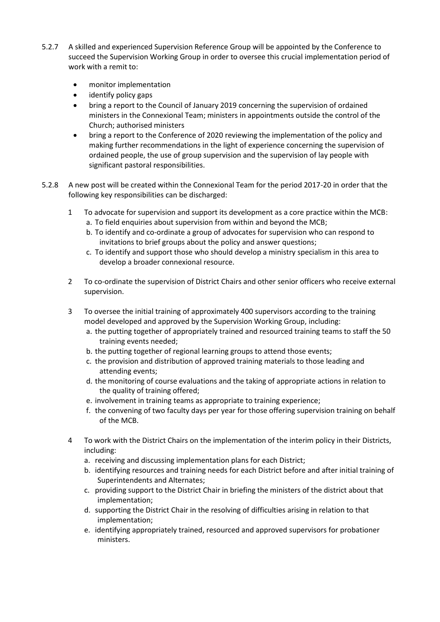- 5.2.7 A skilled and experienced Supervision Reference Group will be appointed by the Conference to succeed the Supervision Working Group in order to oversee this crucial implementation period of work with a remit to:
	- monitor implementation
	- identify policy gaps
	- bring a report to the Council of January 2019 concerning the supervision of ordained ministers in the Connexional Team; ministers in appointments outside the control of the Church; authorised ministers
	- bring a report to the Conference of 2020 reviewing the implementation of the policy and making further recommendations in the light of experience concerning the supervision of ordained people, the use of group supervision and the supervision of lay people with significant pastoral responsibilities.
- 5.2.8 A new post will be created within the Connexional Team for the period 2017-20 in order that the following key responsibilities can be discharged:
	- 1 To advocate for supervision and support its development as a core practice within the MCB: a. To field enquiries about supervision from within and beyond the MCB;
		- b. To identify and co-ordinate a group of advocates for supervision who can respond to invitations to brief groups about the policy and answer questions;
		- c. To identify and support those who should develop a ministry specialism in this area to develop a broader connexional resource.
	- 2 To co-ordinate the supervision of District Chairs and other senior officers who receive external supervision.
	- 3 To oversee the initial training of approximately 400 supervisors according to the training model developed and approved by the Supervision Working Group, including:
		- a. the putting together of appropriately trained and resourced training teams to staff the 50 training events needed;
		- b. the putting together of regional learning groups to attend those events;
		- c. the provision and distribution of approved training materials to those leading and attending events;
		- d. the monitoring of course evaluations and the taking of appropriate actions in relation to the quality of training offered;
		- e. involvement in training teams as appropriate to training experience;
		- f. the convening of two faculty days per year for those offering supervision training on behalf of the MCB.
	- 4 To work with the District Chairs on the implementation of the interim policy in their Districts, including:
		- a. receiving and discussing implementation plans for each District;
		- b. identifying resources and training needs for each District before and after initial training of Superintendents and Alternates;
		- c. providing support to the District Chair in briefing the ministers of the district about that implementation;
		- d. supporting the District Chair in the resolving of difficulties arising in relation to that implementation;
		- e. identifying appropriately trained, resourced and approved supervisors for probationer ministers.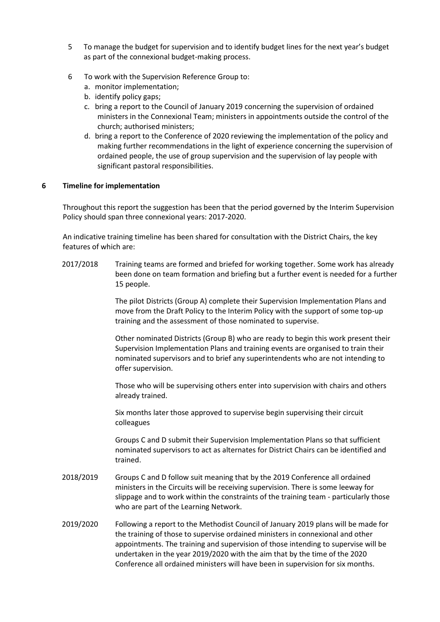- 5 To manage the budget for supervision and to identify budget lines for the next year's budget as part of the connexional budget-making process.
- 6 To work with the Supervision Reference Group to:
	- a. monitor implementation;
	- b. identify policy gaps;
	- c. bring a report to the Council of January 2019 concerning the supervision of ordained ministers in the Connexional Team; ministers in appointments outside the control of the church; authorised ministers;
	- d. bring a report to the Conference of 2020 reviewing the implementation of the policy and making further recommendations in the light of experience concerning the supervision of ordained people, the use of group supervision and the supervision of lay people with significant pastoral responsibilities.

#### **6 Timeline for implementation**

Throughout this report the suggestion has been that the period governed by the Interim Supervision Policy should span three connexional years: 2017-2020.

An indicative training timeline has been shared for consultation with the District Chairs, the key features of which are:

2017/2018 Training teams are formed and briefed for working together. Some work has already been done on team formation and briefing but a further event is needed for a further 15 people.

> The pilot Districts (Group A) complete their Supervision Implementation Plans and move from the Draft Policy to the Interim Policy with the support of some top-up training and the assessment of those nominated to supervise.

Other nominated Districts (Group B) who are ready to begin this work present their Supervision Implementation Plans and training events are organised to train their nominated supervisors and to brief any superintendents who are not intending to offer supervision.

Those who will be supervising others enter into supervision with chairs and others already trained.

Six months later those approved to supervise begin supervising their circuit colleagues

Groups C and D submit their Supervision Implementation Plans so that sufficient nominated supervisors to act as alternates for District Chairs can be identified and trained.

- 2018/2019 Groups C and D follow suit meaning that by the 2019 Conference all ordained ministers in the Circuits will be receiving supervision. There is some leeway for slippage and to work within the constraints of the training team - particularly those who are part of the Learning Network.
- 2019/2020 Following a report to the Methodist Council of January 2019 plans will be made for the training of those to supervise ordained ministers in connexional and other appointments. The training and supervision of those intending to supervise will be undertaken in the year 2019/2020 with the aim that by the time of the 2020 Conference all ordained ministers will have been in supervision for six months.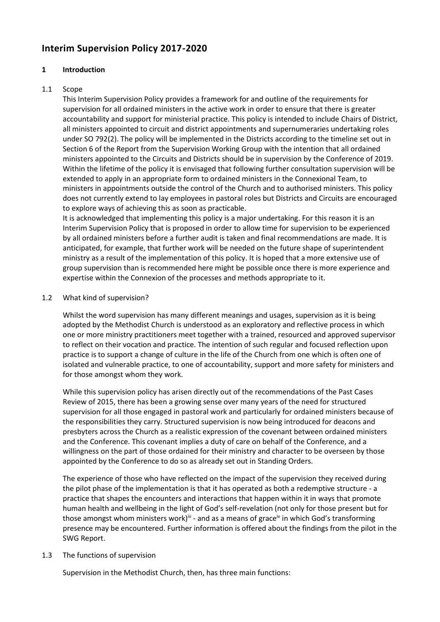# **Interim Supervision Policy 2017-2020**

### **1 Introduction**

### 1.1 Scope

This Interim Supervision Policy provides a framework for and outline of the requirements for supervision for all ordained ministers in the active work in order to ensure that there is greater accountability and support for ministerial practice. This policy is intended to include Chairs of District, all ministers appointed to circuit and district appointments and supernumeraries undertaking roles under SO 792(2). The policy will be implemented in the Districts according to the timeline set out in Section 6 of the Report from the Supervision Working Group with the intention that all ordained ministers appointed to the Circuits and Districts should be in supervision by the Conference of 2019. Within the lifetime of the policy it is envisaged that following further consultation supervision will be extended to apply in an appropriate form to ordained ministers in the Connexional Team, to ministers in appointments outside the control of the Church and to authorised ministers. This policy does not currently extend to lay employees in pastoral roles but Districts and Circuits are encouraged to explore ways of achieving this as soon as practicable.

It is acknowledged that implementing this policy is a major undertaking. For this reason it is an Interim Supervision Policy that is proposed in order to allow time for supervision to be experienced by all ordained ministers before a further audit is taken and final recommendations are made. It is anticipated, for example, that further work will be needed on the future shape of superintendent ministry as a result of the implementation of this policy. It is hoped that a more extensive use of group supervision than is recommended here might be possible once there is more experience and expertise within the Connexion of the processes and methods appropriate to it.

#### 1.2 What kind of supervision?

Whilst the word supervision has many different meanings and usages, supervision as it is being adopted by the Methodist Church is understood as an exploratory and reflective process in which one or more ministry practitioners meet together with a trained, resourced and approved supervisor to reflect on their vocation and practice. The intention of such regular and focused reflection upon practice is to support a change of culture in the life of the Church from one which is often one of isolated and vulnerable practice, to one of accountability, support and more safety for ministers and for those amongst whom they work.

While this supervision policy has arisen directly out of the recommendations of the Past Cases Review of 2015, there has been a growing sense over many years of the need for structured supervision for all those engaged in pastoral work and particularly for ordained ministers because of the responsibilities they carry. Structured supervision is now being introduced for deacons and presbyters across the Church as a realistic expression of the covenant between ordained ministers and the Conference. This covenant implies a duty of care on behalf of the Conference, and a willingness on the part of those ordained for their ministry and character to be overseen by those appointed by the Conference to do so as already set out in Standing Orders.

The experience of those who have reflected on the impact of the supervision they received during the pilot phase of the implementation is that it has operated as both a redemptive structure - a practice that shapes the encounters and interactions that happen within it in ways that promote human health and wellbeing in the light of God's self-revelation (not only for those present but for those amongst whom ministers work)<sup>iii</sup> - and as a means of grace<sup>iv</sup> in which God's transforming presence may be encountered. Further information is offered about the findings from the pilot in the SWG Report.

#### 1.3 The functions of supervision

Supervision in the Methodist Church, then, has three main functions: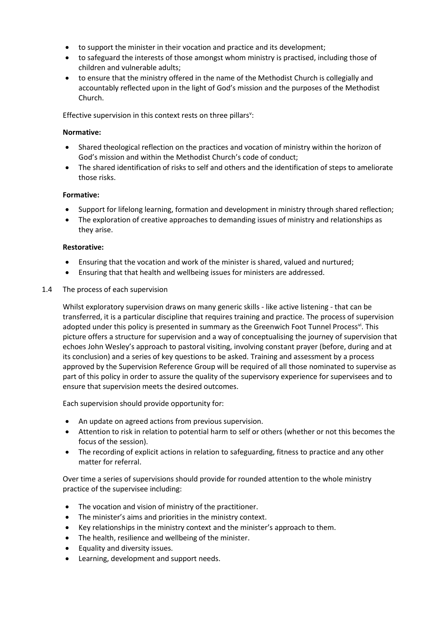- to support the minister in their vocation and practice and its development;
- to safeguard the interests of those amongst whom ministry is practised, including those of children and vulnerable adults;
- to ensure that the ministry offered in the name of the Methodist Church is collegially and accountably reflected upon in the light of God's mission and the purposes of the Methodist Church.

Effective supervision in this context rests on three pillars<sup>y</sup>:

#### **Normative:**

- Shared theological reflection on the practices and vocation of ministry within the horizon of God's mission and within the Methodist Church's code of conduct;
- The shared identification of risks to self and others and the identification of steps to ameliorate those risks.

### **Formative:**

- Support for lifelong learning, formation and development in ministry through shared reflection;
- The exploration of creative approaches to demanding issues of ministry and relationships as they arise.

#### **Restorative:**

- Ensuring that the vocation and work of the minister is shared, valued and nurtured;
- Ensuring that that health and wellbeing issues for ministers are addressed.
- 1.4 The process of each supervision

Whilst exploratory supervision draws on many generic skills - like active listening - that can be transferred, it is a particular discipline that requires training and practice. The process of supervision adopted under this policy is presented in summary as the Greenwich Foot Tunnel Process<sup>vi</sup>. This picture offers a structure for supervision and a way of conceptualising the journey of supervision that echoes John Wesley's approach to pastoral visiting, involving constant prayer (before, during and at its conclusion) and a series of key questions to be asked. Training and assessment by a process approved by the Supervision Reference Group will be required of all those nominated to supervise as part of this policy in order to assure the quality of the supervisory experience for supervisees and to ensure that supervision meets the desired outcomes.

Each supervision should provide opportunity for:

- An update on agreed actions from previous supervision.
- Attention to risk in relation to potential harm to self or others (whether or not this becomes the focus of the session).
- The recording of explicit actions in relation to safeguarding, fitness to practice and any other matter for referral.

Over time a series of supervisions should provide for rounded attention to the whole ministry practice of the supervisee including:

- The vocation and vision of ministry of the practitioner.
- The minister's aims and priorities in the ministry context.
- Key relationships in the ministry context and the minister's approach to them.
- The health, resilience and wellbeing of the minister.
- Equality and diversity issues.
- Learning, development and support needs.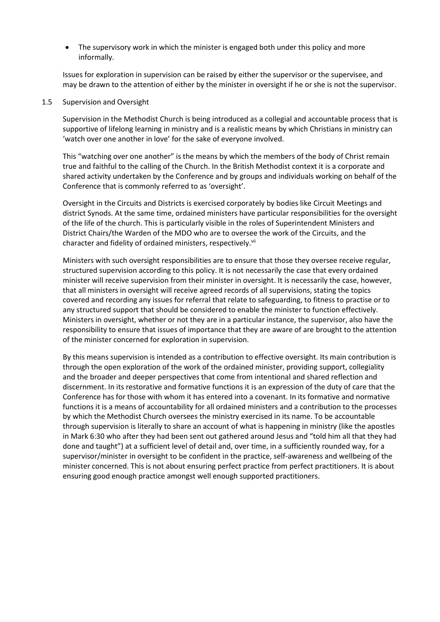The supervisory work in which the minister is engaged both under this policy and more informally.

Issues for exploration in supervision can be raised by either the supervisor or the supervisee, and may be drawn to the attention of either by the minister in oversight if he or she is not the supervisor.

1.5 Supervision and Oversight

Supervision in the Methodist Church is being introduced as a collegial and accountable process that is supportive of lifelong learning in ministry and is a realistic means by which Christians in ministry can 'watch over one another in love' for the sake of everyone involved.

This "watching over one another" is the means by which the members of the body of Christ remain true and faithful to the calling of the Church. In the British Methodist context it is a corporate and shared activity undertaken by the Conference and by groups and individuals working on behalf of the Conference that is commonly referred to as 'oversight'.

Oversight in the Circuits and Districts is exercised corporately by bodies like Circuit Meetings and district Synods. At the same time, ordained ministers have particular responsibilities for the oversight of the life of the church. This is particularly visible in the roles of Superintendent Ministers and District Chairs/the Warden of the MDO who are to oversee the work of the Circuits, and the character and fidelity of ordained ministers, respectively.<sup>vii</sup>

Ministers with such oversight responsibilities are to ensure that those they oversee receive regular, structured supervision according to this policy. It is not necessarily the case that every ordained minister will receive supervision from their minister in oversight. It is necessarily the case, however, that all ministers in oversight will receive agreed records of all supervisions, stating the topics covered and recording any issues for referral that relate to safeguarding, to fitness to practise or to any structured support that should be considered to enable the minister to function effectively. Ministers in oversight, whether or not they are in a particular instance, the supervisor, also have the responsibility to ensure that issues of importance that they are aware of are brought to the attention of the minister concerned for exploration in supervision.

By this means supervision is intended as a contribution to effective oversight. Its main contribution is through the open exploration of the work of the ordained minister, providing support, collegiality and the broader and deeper perspectives that come from intentional and shared reflection and discernment. In its restorative and formative functions it is an expression of the duty of care that the Conference has for those with whom it has entered into a covenant. In its formative and normative functions it is a means of accountability for all ordained ministers and a contribution to the processes by which the Methodist Church oversees the ministry exercised in its name. To be accountable through supervision is literally to share an account of what is happening in ministry (like the apostles in Mark 6:30 who after they had been sent out gathered around Jesus and "told him all that they had done and taught") at a sufficient level of detail and, over time, in a sufficiently rounded way, for a supervisor/minister in oversight to be confident in the practice, self-awareness and wellbeing of the minister concerned. This is not about ensuring perfect practice from perfect practitioners. It is about ensuring good enough practice amongst well enough supported practitioners.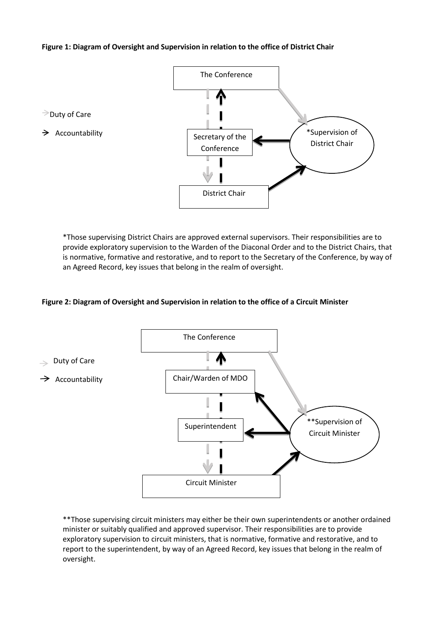## **Figure 1: Diagram of Oversight and Supervision in relation to the office of District Chair**

 $\geq$ Duty of Care

 $\rightarrow$  Accountability



\*Those supervising District Chairs are approved external supervisors. Their responsibilities are to provide exploratory supervision to the Warden of the Diaconal Order and to the District Chairs, that is normative, formative and restorative, and to report to the Secretary of the Conference, by way of an Agreed Record, key issues that belong in the realm of oversight.

#### **Figure 2: Diagram of Oversight and Supervision in relation to the office of a Circuit Minister**



\*\*Those supervising circuit ministers may either be their own superintendents or another ordained minister or suitably qualified and approved supervisor. Their responsibilities are to provide exploratory supervision to circuit ministers, that is normative, formative and restorative, and to report to the superintendent, by way of an Agreed Record, key issues that belong in the realm of oversight.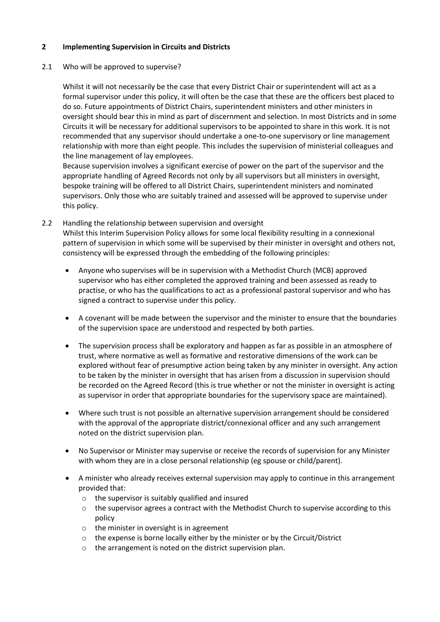## **2 Implementing Supervision in Circuits and Districts**

## 2.1 Who will be approved to supervise?

Whilst it will not necessarily be the case that every District Chair or superintendent will act as a formal supervisor under this policy, it will often be the case that these are the officers best placed to do so. Future appointments of District Chairs, superintendent ministers and other ministers in oversight should bear this in mind as part of discernment and selection. In most Districts and in some Circuits it will be necessary for additional supervisors to be appointed to share in this work. It is not recommended that any supervisor should undertake a one-to-one supervisory or line management relationship with more than eight people. This includes the supervision of ministerial colleagues and the line management of lay employees.

Because supervision involves a significant exercise of power on the part of the supervisor and the appropriate handling of Agreed Records not only by all supervisors but all ministers in oversight, bespoke training will be offered to all District Chairs, superintendent ministers and nominated supervisors. Only those who are suitably trained and assessed will be approved to supervise under this policy.

2.2 Handling the relationship between supervision and oversight

Whilst this Interim Supervision Policy allows for some local flexibility resulting in a connexional pattern of supervision in which some will be supervised by their minister in oversight and others not, consistency will be expressed through the embedding of the following principles:

- Anyone who supervises will be in supervision with a Methodist Church (MCB) approved supervisor who has either completed the approved training and been assessed as ready to practise, or who has the qualifications to act as a professional pastoral supervisor and who has signed a contract to supervise under this policy.
- A covenant will be made between the supervisor and the minister to ensure that the boundaries of the supervision space are understood and respected by both parties.
- The supervision process shall be exploratory and happen as far as possible in an atmosphere of trust, where normative as well as formative and restorative dimensions of the work can be explored without fear of presumptive action being taken by any minister in oversight. Any action to be taken by the minister in oversight that has arisen from a discussion in supervision should be recorded on the Agreed Record (this is true whether or not the minister in oversight is acting as supervisor in order that appropriate boundaries for the supervisory space are maintained).
- Where such trust is not possible an alternative supervision arrangement should be considered with the approval of the appropriate district/connexional officer and any such arrangement noted on the district supervision plan.
- No Supervisor or Minister may supervise or receive the records of supervision for any Minister with whom they are in a close personal relationship (eg spouse or child/parent).
- A minister who already receives external supervision may apply to continue in this arrangement provided that:
	- o the supervisor is suitably qualified and insured
	- o the supervisor agrees a contract with the Methodist Church to supervise according to this policy
	- o the minister in oversight is in agreement
	- $\circ$  the expense is borne locally either by the minister or by the Circuit/District
	- o the arrangement is noted on the district supervision plan.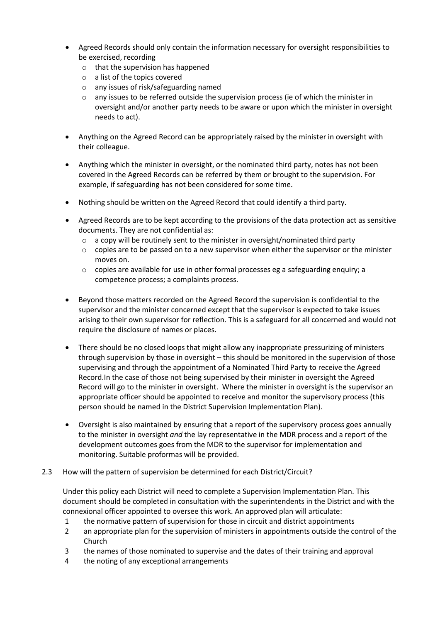- Agreed Records should only contain the information necessary for oversight responsibilities to be exercised, recording
	- o that the supervision has happened
	- o a list of the topics covered
	- o any issues of risk/safeguarding named
	- $\circ$  any issues to be referred outside the supervision process (ie of which the minister in oversight and/or another party needs to be aware or upon which the minister in oversight needs to act).
- Anything on the Agreed Record can be appropriately raised by the minister in oversight with their colleague.
- Anything which the minister in oversight, or the nominated third party, notes has not been covered in the Agreed Records can be referred by them or brought to the supervision. For example, if safeguarding has not been considered for some time.
- Nothing should be written on the Agreed Record that could identify a third party.
- Agreed Records are to be kept according to the provisions of the data protection act as sensitive documents. They are not confidential as:
	- $\circ$  a copy will be routinely sent to the minister in oversight/nominated third party
	- $\circ$  copies are to be passed on to a new supervisor when either the supervisor or the minister moves on.
	- $\circ$  copies are available for use in other formal processes eg a safeguarding enquiry; a competence process; a complaints process.
- Beyond those matters recorded on the Agreed Record the supervision is confidential to the supervisor and the minister concerned except that the supervisor is expected to take issues arising to their own supervisor for reflection. This is a safeguard for all concerned and would not require the disclosure of names or places.
- There should be no closed loops that might allow any inappropriate pressurizing of ministers through supervision by those in oversight – this should be monitored in the supervision of those supervising and through the appointment of a Nominated Third Party to receive the Agreed Record.In the case of those not being supervised by their minister in oversight the Agreed Record will go to the minister in oversight. Where the minister in oversight is the supervisor an appropriate officer should be appointed to receive and monitor the supervisory process (this person should be named in the District Supervision Implementation Plan).
- Oversight is also maintained by ensuring that a report of the supervisory process goes annually to the minister in oversight *and* the lay representative in the MDR process and a report of the development outcomes goes from the MDR to the supervisor for implementation and monitoring. Suitable proformas will be provided.

## 2.3 How will the pattern of supervision be determined for each District/Circuit?

Under this policy each District will need to complete a Supervision Implementation Plan. This document should be completed in consultation with the superintendents in the District and with the connexional officer appointed to oversee this work. An approved plan will articulate:

- 1 the normative pattern of supervision for those in circuit and district appointments
- 2 an appropriate plan for the supervision of ministers in appointments outside the control of the Church
- 3 the names of those nominated to supervise and the dates of their training and approval
- 4 the noting of any exceptional arrangements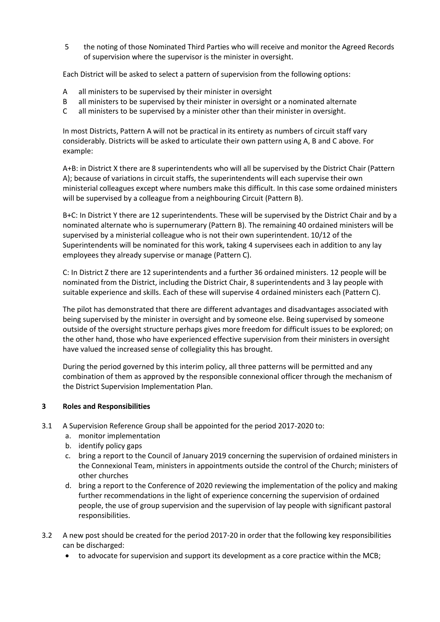5 the noting of those Nominated Third Parties who will receive and monitor the Agreed Records of supervision where the supervisor is the minister in oversight.

Each District will be asked to select a pattern of supervision from the following options:

- A all ministers to be supervised by their minister in oversight
- B all ministers to be supervised by their minister in oversight or a nominated alternate
- C all ministers to be supervised by a minister other than their minister in oversight.

In most Districts, Pattern A will not be practical in its entirety as numbers of circuit staff vary considerably. Districts will be asked to articulate their own pattern using A, B and C above. For example:

A+B: in District X there are 8 superintendents who will all be supervised by the District Chair (Pattern A); because of variations in circuit staffs, the superintendents will each supervise their own ministerial colleagues except where numbers make this difficult. In this case some ordained ministers will be supervised by a colleague from a neighbouring Circuit (Pattern B).

B+C: In District Y there are 12 superintendents. These will be supervised by the District Chair and by a nominated alternate who is supernumerary (Pattern B). The remaining 40 ordained ministers will be supervised by a ministerial colleague who is not their own superintendent. 10/12 of the Superintendents will be nominated for this work, taking 4 supervisees each in addition to any lay employees they already supervise or manage (Pattern C).

C: In District Z there are 12 superintendents and a further 36 ordained ministers. 12 people will be nominated from the District, including the District Chair, 8 superintendents and 3 lay people with suitable experience and skills. Each of these will supervise 4 ordained ministers each (Pattern C).

The pilot has demonstrated that there are different advantages and disadvantages associated with being supervised by the minister in oversight and by someone else. Being supervised by someone outside of the oversight structure perhaps gives more freedom for difficult issues to be explored; on the other hand, those who have experienced effective supervision from their ministers in oversight have valued the increased sense of collegiality this has brought.

During the period governed by this interim policy, all three patterns will be permitted and any combination of them as approved by the responsible connexional officer through the mechanism of the District Supervision Implementation Plan.

#### **3 Roles and Responsibilities**

- 3.1 A Supervision Reference Group shall be appointed for the period 2017-2020 to:
	- a. monitor implementation
	- b. identify policy gaps
	- c. bring a report to the Council of January 2019 concerning the supervision of ordained ministers in the Connexional Team, ministers in appointments outside the control of the Church; ministers of other churches
	- d. bring a report to the Conference of 2020 reviewing the implementation of the policy and making further recommendations in the light of experience concerning the supervision of ordained people, the use of group supervision and the supervision of lay people with significant pastoral responsibilities.
- 3.2 A new post should be created for the period 2017-20 in order that the following key responsibilities can be discharged:
	- to advocate for supervision and support its development as a core practice within the MCB;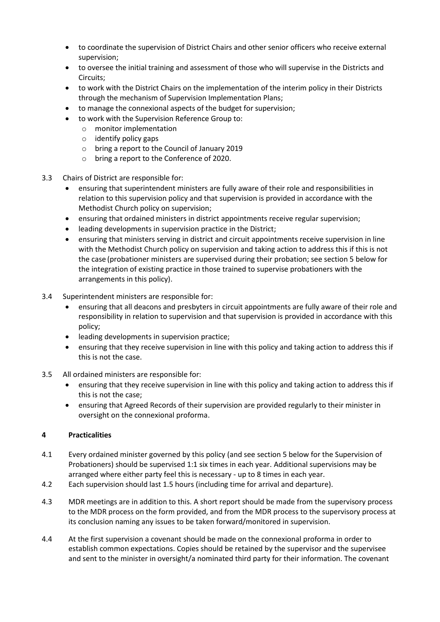- to coordinate the supervision of District Chairs and other senior officers who receive external supervision;
- to oversee the initial training and assessment of those who will supervise in the Districts and Circuits;
- to work with the District Chairs on the implementation of the interim policy in their Districts through the mechanism of Supervision Implementation Plans;
- to manage the connexional aspects of the budget for supervision;
- to work with the Supervision Reference Group to:
	- o monitor implementation
	- o identify policy gaps
	- o bring a report to the Council of January 2019
	- o bring a report to the Conference of 2020.
- 3.3 Chairs of District are responsible for:
	- ensuring that superintendent ministers are fully aware of their role and responsibilities in relation to this supervision policy and that supervision is provided in accordance with the Methodist Church policy on supervision;
	- ensuring that ordained ministers in district appointments receive regular supervision;
	- leading developments in supervision practice in the District;
	- ensuring that ministers serving in district and circuit appointments receive supervision in line with the Methodist Church policy on supervision and taking action to address this if this is not the case (probationer ministers are supervised during their probation; see section 5 below for the integration of existing practice in those trained to supervise probationers with the arrangements in this policy).
- 3.4 Superintendent ministers are responsible for:
	- ensuring that all deacons and presbyters in circuit appointments are fully aware of their role and responsibility in relation to supervision and that supervision is provided in accordance with this policy;
	- **•** leading developments in supervision practice;
	- ensuring that they receive supervision in line with this policy and taking action to address this if this is not the case.
- 3.5 All ordained ministers are responsible for:
	- ensuring that they receive supervision in line with this policy and taking action to address this if this is not the case;
	- ensuring that Agreed Records of their supervision are provided regularly to their minister in oversight on the connexional proforma.

## **4 Practicalities**

- 4.1 Every ordained minister governed by this policy (and see section 5 below for the Supervision of Probationers) should be supervised 1:1 six times in each year. Additional supervisions may be arranged where either party feel this is necessary - up to 8 times in each year.
- 4.2 Each supervision should last 1.5 hours (including time for arrival and departure).
- 4.3 MDR meetings are in addition to this. A short report should be made from the supervisory process to the MDR process on the form provided, and from the MDR process to the supervisory process at its conclusion naming any issues to be taken forward/monitored in supervision.
- 4.4 At the first supervision a covenant should be made on the connexional proforma in order to establish common expectations. Copies should be retained by the supervisor and the supervisee and sent to the minister in oversight/a nominated third party for their information. The covenant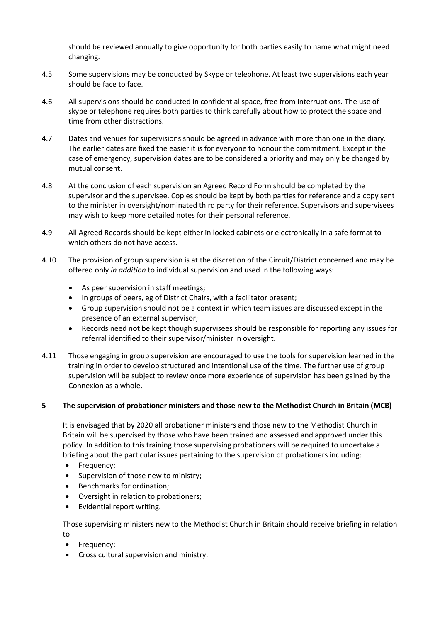should be reviewed annually to give opportunity for both parties easily to name what might need changing.

- 4.5 Some supervisions may be conducted by Skype or telephone. At least two supervisions each year should be face to face.
- 4.6 All supervisions should be conducted in confidential space, free from interruptions. The use of skype or telephone requires both parties to think carefully about how to protect the space and time from other distractions.
- 4.7 Dates and venues for supervisions should be agreed in advance with more than one in the diary. The earlier dates are fixed the easier it is for everyone to honour the commitment. Except in the case of emergency, supervision dates are to be considered a priority and may only be changed by mutual consent.
- 4.8 At the conclusion of each supervision an Agreed Record Form should be completed by the supervisor and the supervisee. Copies should be kept by both parties for reference and a copy sent to the minister in oversight/nominated third party for their reference. Supervisors and supervisees may wish to keep more detailed notes for their personal reference.
- 4.9 All Agreed Records should be kept either in locked cabinets or electronically in a safe format to which others do not have access.
- 4.10 The provision of group supervision is at the discretion of the Circuit/District concerned and may be offered only *in addition* to individual supervision and used in the following ways:
	- As peer supervision in staff meetings;
	- In groups of peers, eg of District Chairs, with a facilitator present;
	- Group supervision should not be a context in which team issues are discussed except in the presence of an external supervisor;
	- Records need not be kept though supervisees should be responsible for reporting any issues for referral identified to their supervisor/minister in oversight.
- 4.11 Those engaging in group supervision are encouraged to use the tools for supervision learned in the training in order to develop structured and intentional use of the time. The further use of group supervision will be subject to review once more experience of supervision has been gained by the Connexion as a whole.

#### **5 The supervision of probationer ministers and those new to the Methodist Church in Britain (MCB)**

It is envisaged that by 2020 all probationer ministers and those new to the Methodist Church in Britain will be supervised by those who have been trained and assessed and approved under this policy. In addition to this training those supervising probationers will be required to undertake a briefing about the particular issues pertaining to the supervision of probationers including:

- Frequency;
- Supervision of those new to ministry;
- Benchmarks for ordination:
- Oversight in relation to probationers;
- Evidential report writing.

Those supervising ministers new to the Methodist Church in Britain should receive briefing in relation to

- Frequency;
- Cross cultural supervision and ministry.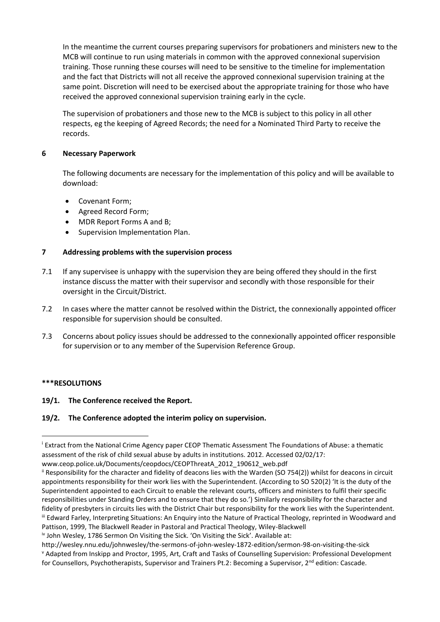In the meantime the current courses preparing supervisors for probationers and ministers new to the MCB will continue to run using materials in common with the approved connexional supervision training. Those running these courses will need to be sensitive to the timeline for implementation and the fact that Districts will not all receive the approved connexional supervision training at the same point. Discretion will need to be exercised about the appropriate training for those who have received the approved connexional supervision training early in the cycle.

The supervision of probationers and those new to the MCB is subject to this policy in all other respects, eg the keeping of Agreed Records; the need for a Nominated Third Party to receive the records.

#### **6 Necessary Paperwork**

The following documents are necessary for the implementation of this policy and will be available to download:

- Covenant Form;
- Agreed Record Form;
- MDR Report Forms A and B;
- Supervision Implementation Plan.

### **7 Addressing problems with the supervision process**

- 7.1 If any supervisee is unhappy with the supervision they are being offered they should in the first instance discuss the matter with their supervisor and secondly with those responsible for their oversight in the Circuit/District.
- 7.2 In cases where the matter cannot be resolved within the District, the connexionally appointed officer responsible for supervision should be consulted.
- 7.3 Concerns about policy issues should be addressed to the connexionally appointed officer responsible for supervision or to any member of the Supervision Reference Group.

#### **\*\*\*RESOLUTIONS**

 $\overline{a}$ 

**19/1. The Conference received the Report.**

#### **19/2. The Conference adopted the interim policy on supervision.**

<sup>&</sup>lt;sup>i</sup> Extract from the National Crime Agency paper CEOP Thematic Assessment The Foundations of Abuse: a thematic assessment of the risk of child sexual abuse by adults in institutions. 2012. Accessed 02/02/17:

www.ceop.police.uk/Documents/ceopdocs/CEOPThreatA\_2012\_190612\_web.pdf

ii Responsibility for the character and fidelity of deacons lies with the Warden (SO 754(2)) whilst for deacons in circuit appointments responsibility for their work lies with the Superintendent. (According to SO 520(2) 'It is the duty of the Superintendent appointed to each Circuit to enable the relevant courts, officers and ministers to fulfil their specific responsibilities under Standing Orders and to ensure that they do so.') Similarly responsibility for the character and fidelity of presbyters in circuits lies with the District Chair but responsibility for the work lies with the Superintendent. iii Edward Farley, Interpreting Situations: An Enquiry into the Nature of Practical Theology, reprinted in Woodward and Pattison, 1999, The Blackwell Reader in Pastoral and Practical Theology, Wiley-Blackwell

iv John Wesley, 1786 Sermon On Visiting the Sick. 'On Visiting the Sick'. Available at:

http://wesley.nnu.edu/johnwesley/the-sermons-of-john-wesley-1872-edition/sermon-98-on-visiting-the-sick <sup>v</sup> Adapted from Inskipp and Proctor, 1995, Art, Craft and Tasks of Counselling Supervision: Professional Development for Counsellors, Psychotherapists, Supervisor and Trainers Pt.2: Becoming a Supervisor, 2<sup>nd</sup> edition: Cascade.